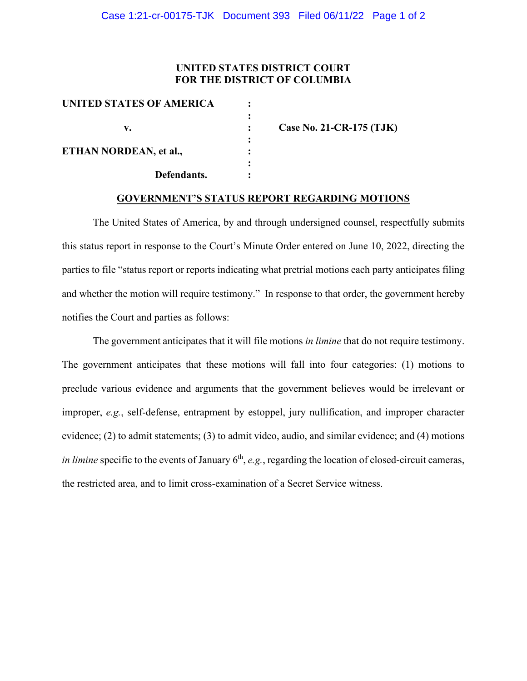## **UNITED STATES DISTRICT COURT FOR THE DISTRICT OF COLUMBIA**

| <b>UNITED STATES OF AMERICA</b> |                          |
|---------------------------------|--------------------------|
|                                 |                          |
| v.                              | Case No. 21-CR-175 (TJK) |
|                                 |                          |
| ETHAN NORDEAN, et al.,          |                          |
|                                 |                          |
| Defendants.                     |                          |

## **GOVERNMENT'S STATUS REPORT REGARDING MOTIONS**

The United States of America, by and through undersigned counsel, respectfully submits this status report in response to the Court's Minute Order entered on June 10, 2022, directing the parties to file "status report or reports indicating what pretrial motions each party anticipates filing and whether the motion will require testimony." In response to that order, the government hereby notifies the Court and parties as follows:

The government anticipates that it will file motions *in limine* that do not require testimony. The government anticipates that these motions will fall into four categories: (1) motions to preclude various evidence and arguments that the government believes would be irrelevant or improper, *e.g.*, self-defense, entrapment by estoppel, jury nullification, and improper character evidence; (2) to admit statements; (3) to admit video, audio, and similar evidence; and (4) motions *in limine* specific to the events of January  $6<sup>th</sup>$ , *e.g.*, regarding the location of closed-circuit cameras, the restricted area, and to limit cross-examination of a Secret Service witness.